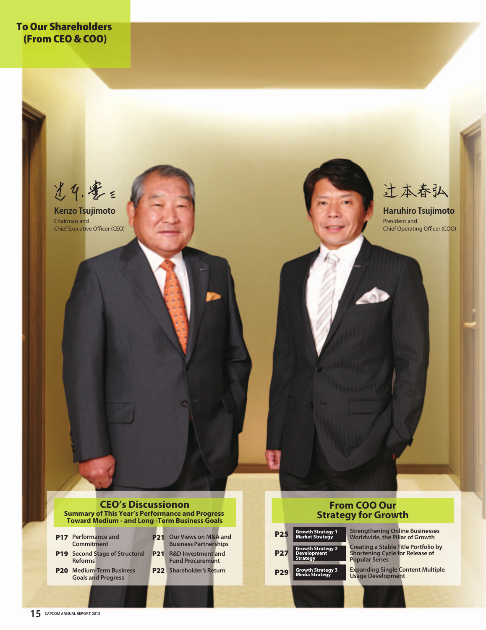**To Our Shareholders (From CEO & COO)**

光4.零= **Kenzo Tsujimoto**

Chairman and Chief Executive Officer (CEO)

## 辻本春弘

President and Chief Operating Officer (COO) **Haruhiro Tsujimoto**

#### **CEO's Discussionon Summary of This Year's Performance and Progress Toward Medium - and Long -Term Business Goals**

- **P17** Performance and **Commitment**
- **P19** Second Stage of Structural **P21 Reforms**
- **P20 Medium-Term Business Goals and Progress**
- **P21 Our Views on M&A and Business Partnerships R&D Investment and**
- **P22 Shareholder's Return Fund Procurement**

## **From COO Our Strategy for Growth**

| <b>P25</b> | <b>Growth Strategy 1</b><br>Market Strategy                       |
|------------|-------------------------------------------------------------------|
| P27        | <b>Growth Strategy 2</b><br><b>Development</b><br><b>Strategy</b> |
| <b>P29</b> | Growth Strategy 3<br>Media Strategy                               |

| <b>Worldwide, the Pillar of Growth</b>                                                                         |
|----------------------------------------------------------------------------------------------------------------|
| <b>Creating a Stable Title Portfolio by</b><br><b>Shortening Cycle for Release of</b><br><b>Popular Series</b> |

**Strengthening Online Businesses** 

**Expanding Single Content Multiple Usage Development**

### **15 CAPCOM ANNUAL REPORT 2012**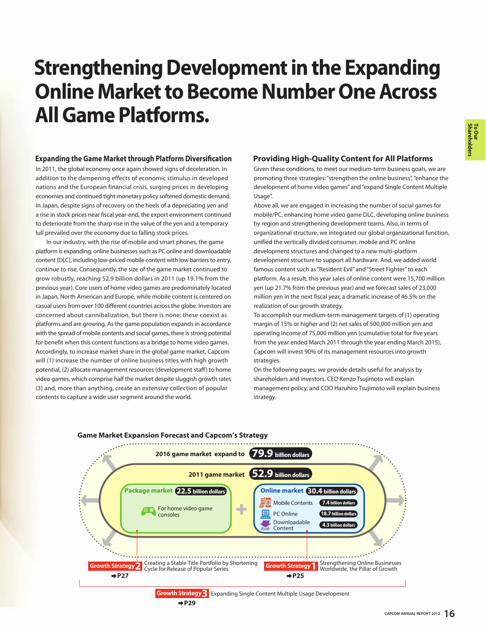# **Strengthening Development in the Expanding Online Market to Become Number One Across All Game Platforms.**

## **Expanding the Game Market through Platform Diversification**

In 2011, the global economy once again showed signs of deceleration. In addition to the dampening effects of economic stimulus in developed nations and the European financial crisis, surging prices in developing economies and continued tight monetary policy softened domestic demand. In Japan, despite signs of recovery on the heels of a depreciating yen and a rise in stock prices near fiscal year-end, the export environment continued to deteriorate from the sharp rise in the value of the yen and a temporary lull prevailed over the economy due to falling stock prices.

 In our industry, with the rise of mobile and smart phones, the game platform is expanding; online businesses such as PC online and downloadable content (DLC), including low-priced mobile content with low barriers to entry, continue to rise. Consequently, the size of the game market continued to grow robustly, reaching 52.9 billion dollars in 2011 (up 19.1% from the previous year). Core users of home video games are predominately located in Japan, North American and Europe, while mobile content is centered on casual users from over 100 different countries across the globe. Investors are concerned about cannibalization, but there is none; these coexist as platforms and are growing. As the game population expands in accordance with the spread of mobile contents and social games, there is strong potential for benefit when this content functions as a bridge to home video games. Accordingly, to increase market share in the global game market, Capcom will (1) increase the number of online business titles with high growth potential, (2) allocate management resources (development staff) to home video games, which comprise half the market despite sluggish growth rates (3) and, more than anything, create an extensive collection of popular contents to capture a wide user segment around the world.

## **Providing High-Quality Content for All Platforms**

Given these conditions, to meet our medium-term business goals, we are promoting three strategies: "strengthen the online business", "enhance the development of home video games" and "expand Single Content Multiple Usage".

Above all, we are engaged in increasing the number of social games for mobile/PC, enhancing home video game DLC, developing online business by region and strengthening development teams. Also, in terms of organizational structure, we integrated our global organizational function, unified the vertically divided consumer, mobile and PC online development structures and changed to a new multi-platform development structure to support all hardware. And, we added world famous content such as "Resident Evil" and "Street Fighter" to each platform. As a result, this year sales of online content were 15,700 million yen (up 21.7% from the previous year) and we forecast sales of 23,000 million yen in the next fiscal year, a dramatic increase of 46.5% on the realization of our growth strategy.

To accomplish our medium-term management targets of (1) operating margin of 15% or higher and (2) net sales of 500,000 million yen and operating income of 75,000 million yen (cumulative total for five years from the year ended March 2011 through the year ending March 2015), Capcom will invest 90% of its management resources into growth strategies.

On the following pages, we provide details useful for analysis by shareholders and investors. CEO Kenzo Tsujimoto will explain management policy, and COO Haruhiro Tsujimoto will explain business strategy.



 $+P29$ 

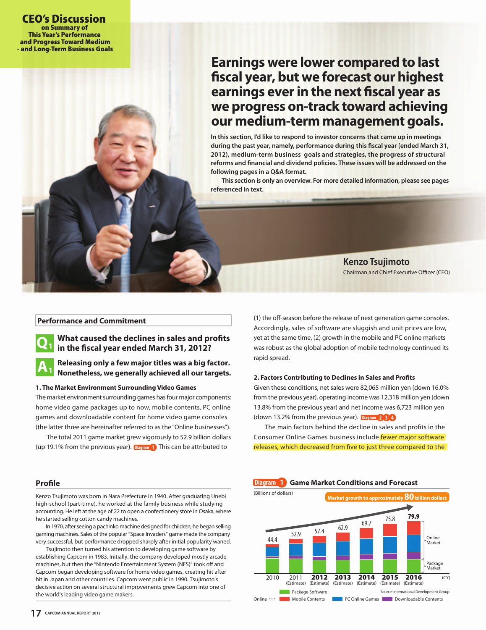## **Earnings were lower compared to last fiscal year, but we forecast our highest earnings ever in the next fiscal year as we progress on-track toward achieving our medium-term management goals.**

**In this section, I'd like to respond to investor concerns that came up in meetings during the past year, namely, performance during this fiscal year (ended March 31, 2012), medium-term business goals and strategies, the progress of structural reforms and financial and dividend policies. These issues will be addressed on the following pages in a Q&A format.**

 **This section is only an overview. For more detailed information, please see pages referenced in text.**

> Chairman and Chief Executive Officer (CEO) **Kenzo Tsujimoto**

### **Performance and Commitment**



## **What caused the declines in sales and profits in the fiscal year ended March 31, 2012?**

#### **Releasing only a few major titles was a big factor. Nonetheless, we generally achieved all our targets.**  $A_1$

#### **1. The Market Environment Surrounding Video Games**

The market environment surrounding games has four major components: home video game packages up to now, mobile contents, PC online games and downloadable content for home video game consoles (the latter three are hereinafter referred to as the "Online businesses").

 The total 2011 game market grew vigorously to 52.9 billion dollars (up 19.1% from the previous year). **Diagram 1** This can be attributed to

**Profile**

Kenzo Tsujimoto was born in Nara Prefecture in 1940. After graduating Unebi high-school (part-time), he worked at the family business while studying accounting. He left at the age of 22 to open a confectionery store in Osaka, where he started selling cotton candy machines.

 In 1970, after seeing a pachinko machine designed for children, he began selling gaming machines. Sales of the popular "Space Invaders" game made the company very successful, but performance dropped sharply after initial popularity waned.

 Tsujimoto then turned his attention to developing game software by establishing Capcom in 1983. Initially, the company developed mostly arcade machines, but then the "Nintendo Entertainment System (NES)" took off and Capcom began developing software for home video games, creating hit after hit in Japan and other countries. Capcom went public in 1990. Tsujimoto's decisive action on several structural improvements grew Capcom into one of the world's leading video game makers.

(1) the off-season before the release of next generation game consoles. Accordingly, sales of software are sluggish and unit prices are low, yet at the same time, (2) growth in the mobile and PC online markets was robust as the global adoption of mobile technology continued its rapid spread.

#### **2. Factors Contributing to Declines in Sales and Profits**

Given these conditions, net sales were 82,065 million yen (down 16.0% from the previous year), operating income was 12,318 million yen (down 13.8% from the previous year) and net income was 6,723 million yen (down 13.2% from the previous year). Diagram 2 3 4

**The main factors behind the decline in sales and profits in the** Consumer Online Games business include fewer major software releases, which decreased from five to just three compared to the

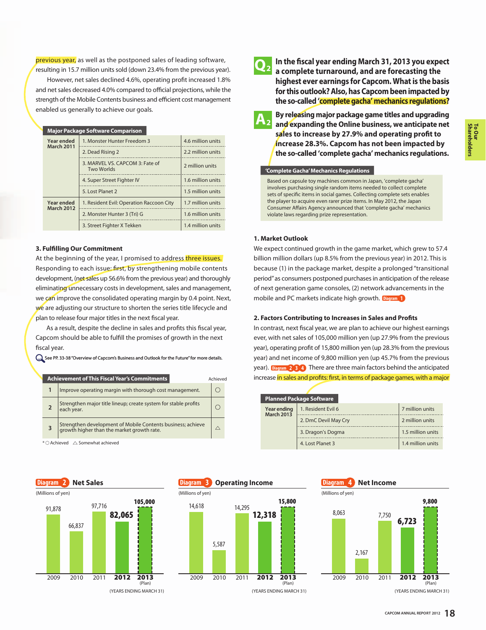previous year, as well as the postponed sales of leading software, resulting in 15.7 million units sold (down 23.4% from the previous year).

 However, net sales declined 4.6%, operating profit increased 1.8% and net sales decreased 4.0% compared to official projections, while the strength of the Mobile Contents business and efficient cost management enabled us generally to achieve our goals.

|                                 | <b>Major Package Software Comparison</b>             |                   |  |
|---------------------------------|------------------------------------------------------|-------------------|--|
| Year ended<br><b>March 2011</b> | 1. Monster Hunter Freedom 3                          | 4.6 million units |  |
|                                 | 2. Dead Rising 2                                     | 2.2 million units |  |
|                                 | 3. MARVEL VS. CAPCOM 3: Fate of<br><b>Two Worlds</b> | 2 million units   |  |
|                                 | 4. Super Street Fighter IV                           | 1.6 million units |  |
|                                 | 5. Lost Planet 2                                     | 1.5 million units |  |
| Year ended<br><b>March 2012</b> | 1. Resident Evil: Operation Raccoon City             | 1.7 million units |  |
|                                 | 2. Monster Hunter 3 (Tri) G                          | 1.6 million units |  |
|                                 | 3. Street Fighter X Tekken                           | 1.4 million units |  |

#### **3. Fulfilling Our Commitment**

At the beginning of the year, I promised to address three issues. Responding to each issue: first, by strengthening mobile contents development, (net sales up 56.6% from the previous year) and thoroughly eliminating unnecessary costs in development, sales and management, we can improve the consolidated operating margin by 0.4 point. Next, we are adjusting our structure to shorten the series title lifecycle and plan to release four major titles in the next fiscal year.

 As a result, despite the decline in sales and profits this fiscal year, Capcom should be able to fulfill the promises of growth in the next fiscal year.

See PP. 33-38 "Overview of Capcom's Business and Outlook for the Future" for more details.



 $^*$   $\bigcirc$  Achieved  $\bigtriangleup$  Somewhat achieved







 $A<sub>2</sub>$ 

**In the fiscal year ending March 31, 2013 you expect a complete turnaround, and are forecasting the highest ever earnings for Capcom. What is the basis for this outlook? Also, has Capcom been impacted by the so-called 'complete gacha' mechanics regulations?**

**By releasing major package game titles and upgrading and expanding the Online business, we anticipate net sales to increase by 27.9% and operating profit to increase 28.3%. Capcom has not been impacted by the so-called 'complete gacha' mechanics regulations.**

**'Complete Gacha' Mechanics Regulations**

Based on capsule toy machines common in Japan, 'complete gacha' involves purchasing single random items needed to collect complete sets of specific items in social games. Collecting complete sets enables the player to acquire even rarer prize items. In May 2012, the Japan Consumer Affairs Agency announced that 'complete gacha' mechanics violate laws regarding prize representation.

#### **1. Market Outlook**

We expect continued growth in the game market, which grew to 57.4 billion million dollars (up 8.5% from the previous year) in 2012. This is because (1) in the package market, despite a prolonged "transitional period" as consumers postponed purchases in anticipation of the release of next generation game consoles, (2) network advancements in the mobile and PC markets indicate high growth. **Diagram 1**

## **2. Factors Contributing to Increases in Sales and Profits**

In contrast, next fiscal year, we are plan to achieve our highest earnings ever, with net sales of 105,000 million yen (up 27.9% from the previous year), operating profit of 15,800 million yen (up 28.3% from the previous year) and net income of 9,800 million yen (up 45.7% from the previous year). Diagram 2 3 4 There are three main factors behind the anticipated **increase in sales and profits: first, in terms of package games, with a major increase in sales and profits: first, in terms of package games, with a major** 

| <b>Planned Package Software</b>  |                      |                   |  |
|----------------------------------|----------------------|-------------------|--|
| Year ending<br><b>March 2013</b> | 1. Resident Evil 6   | 7 million units   |  |
|                                  | 2. DmC Devil May Cry | 2 million units   |  |
|                                  | 3. Dragon's Dogma    | 1.5 million units |  |
|                                  | 4. Lost Planet 3     | 1.4 million units |  |



**Shareholders To Our**

(YEARS ENDING MARCH 31)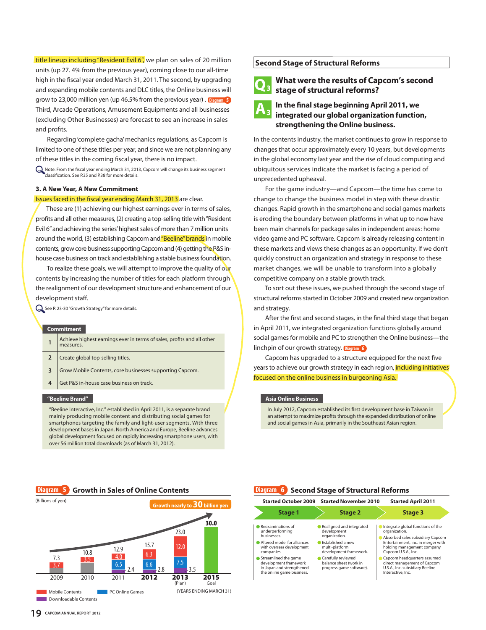title lineup including "Resident Evil 6", we plan on sales of 20 million units (up 27. 4% from the previous year), coming close to our all-time high in the fiscal year ended March 31, 2011. The second, by upgrading and expanding mobile contents and DLC titles, the Online business will grow to 23,000 million yen (up 46.5% from the previous year). Diagram 5 Third, Arcade Operations, Amusement Equipments and all businesses **Diagram 5** (excluding Other Businesses) are forecast to see an increase in sales and profits.

 Regarding 'complete gacha' mechanics regulations, as Capcom is limited to one of these titles per year, and since we are not planning any of these titles in the coming fiscal year, there is no impact.

Note: From the fiscal year ending March 31, 2013, Capcom will change its business segment classification. See P.35 and P.38 for more details.

#### **3. A New Year, A New Commitment**

#### Issues faced in the fiscal year ending March 31, 2013 are clear.

 These are (1) achieving our highest earnings ever in terms of sales, profits and all other measures, (2) creating a top-selling title with "Resident Evil 6" and achieving the series' highest sales of more than 7 million units around the world, (3) establishing Capcom and "Beeline" brands in mobile contents, grow core business supporting Capcom and (4) getting the P&S inhouse case business on track and establishing a stable business foundation.

To realize these goals, we will attempt to improve the quality of our contents by increasing the number of titles for each platform through the realignment of our development structure and enhancement of our development staff.

See P. 23-30 "Growth Strategy" for more details.

#### **Commitment**

|   | Achieve highest earnings ever in terms of sales, profits and all other<br>measures. |
|---|-------------------------------------------------------------------------------------|
|   | Create global top-selling titles.                                                   |
| 3 | Grow Mobile Contents, core businesses supporting Capcom.                            |
| 4 | Get P&S in-house case business on track.                                            |
|   |                                                                                     |

#### **"Beeline Brand"**

"Beeline Interactive, Inc." established in April 2011, is a separate brand mainly producing mobile content and distributing social games for smartphones targeting the family and light-user segments. With three development bases in Japan, North America and Europe, Beeline advances global development focused on rapidly increasing smartphone users, with over 56 million total downloads (as of March 31, 2012).

## **Second Stage of Structural Reforms**

## **What were the results of Capcom's second Q stage of structural reforms? <sup>3</sup>**



## **In the final stage beginning April 2011, we integrated our global organization function, strengthening the Online business.**

In the contents industry, the market continues to grow in response to changes that occur approximately every 10 years, but developments in the global economy last year and the rise of cloud computing and ubiquitous services indicate the market is facing a period of unprecedented upheaval.

 For the game industry—and Capcom—the time has come to change to change the business model in step with these drastic changes. Rapid growth in the smartphone and social games markets is eroding the boundary between platforms in what up to now have been main channels for package sales in independent areas: home video game and PC software. Capcom is already releasing content in these markets and views these changes as an opportunity. If we don't quickly construct an organization and strategy in response to these market changes, we will be unable to transform into a globally competitive company on a stable growth track.

 To sort out these issues, we pushed through the second stage of structural reforms started in October 2009 and created new organization and strategy.

 After the first and second stages, in the final third stage that began in April 2011, we integrated organization functions globally around social games for mobile and PC to strengthen the Online business—the linchpin of our growth strategy. Diagram 6

**CAPCOM 6** Capcom has upgraded to a structure equipped for the next five years to achieve our growth strategy in each region, including initiatives focused on the online business in burgeoning Asia.

#### **Asia Online Business**

In July 2012, Capcom established its first development base in Taiwan in an attempt to maximize profits through the expanded distribution of online and social games in Asia, primarily in the Southeast Asian region.



|                                                                                                                                                                                                                                            | Started October 2009 Started November 2010                                                                                                                                                            | <b>Started April 2011</b>                                                                                                                                                                                                                                                                               |
|--------------------------------------------------------------------------------------------------------------------------------------------------------------------------------------------------------------------------------------------|-------------------------------------------------------------------------------------------------------------------------------------------------------------------------------------------------------|---------------------------------------------------------------------------------------------------------------------------------------------------------------------------------------------------------------------------------------------------------------------------------------------------------|
| <b>Stage 1</b>                                                                                                                                                                                                                             | <b>Stage 2</b>                                                                                                                                                                                        | Stage 3                                                                                                                                                                                                                                                                                                 |
| Reexaminations of<br>underperforming<br>businesses.<br>Altered model for alliances<br>with overseas development<br>companies.<br>● Streamlined the game<br>development framework<br>in Japan and strengthened<br>the online game business. | Realigned and integrated<br>development<br>organization.<br>Established a new<br>multi-platform<br>development framework.<br>Carefully reviewed<br>balance sheet (work in<br>progress game software). | Integrate global functions of the<br>organization.<br>Absorbed sales subsidiary Capcom<br>Entertainment, Inc. in merger with<br>holding management company<br>Capcom U.S.A., Inc.<br>Capcom headquarters assumed<br>direct management of Capcom<br>U.S.A., Inc. subsidiary Beeline<br>Interactive, Inc. |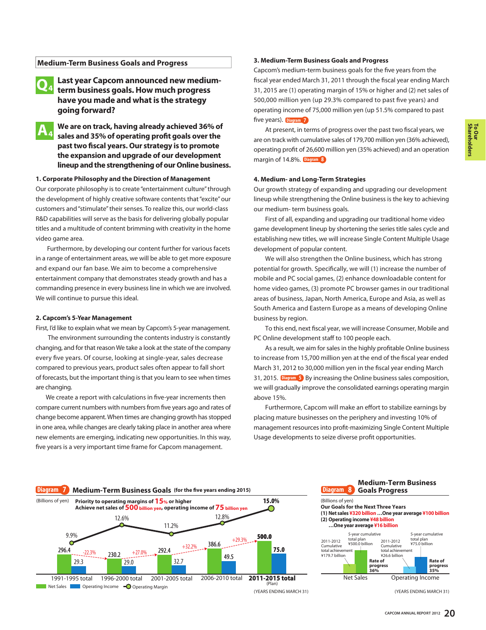## **Medium-Term Business Goals and Progress**

#### **Last year Capcom announced new mediumterm business goals. How much progress have you made and what is the strategy going forward? Q4**

**We are on track, having already achieved 36% of sales and 35% of operating profit goals over the past two fiscal years. Our strategy is to promote the expansion and upgrade of our development lineup and the strengthening of our Online business. A4**

### **1. Corporate Philosophy and the Direction of Management**

Our corporate philosophy is to create "entertainment culture" through the development of highly creative software contents that "excite" our customers and "stimulate" their senses. To realize this, our world-class R&D capabilities will serve as the basis for delivering globally popular titles and a multitude of content brimming with creativity in the home video game area.

 Furthermore, by developing our content further for various facets in a range of entertainment areas, we will be able to get more exposure and expand our fan base. We aim to become a comprehensive entertainment company that demonstrates steady growth and has a commanding presence in every business line in which we are involved. We will continue to pursue this ideal.

#### **2. Capcom's 5-Year Management**

First, I'd like to explain what we mean by Capcom's 5-year management.

 The environment surrounding the contents industry is constantly changing, and for that reason We take a look at the state of the company every five years. Of course, looking at single-year, sales decrease compared to previous years, product sales often appear to fall short of forecasts, but the important thing is that you learn to see when times are changing.

 We create a report with calculations in five-year increments then compare current numbers with numbers from five years ago and rates of change become apparent. When times are changing growth has stopped in one area, while changes are clearly taking place in another area where new elements are emerging, indicating new opportunities. In this way, five years is a very important time frame for Capcom management.

#### **3. Medium-Term Business Goals and Progress**

Capcom's medium-term business goals for the five years from the fiscal year ended March 31, 2011 through the fiscal year ending March 31, 2015 are (1) operating margin of 15% or higher and (2) net sales of 500,000 million yen (up 29.3% compared to past five years) and operating income of 75,000 million yen (up 51.5% compared to past five years). Diagram 7

At present, in terms of progress over the past two fiscal years, we are on track with cumulative sales of 179,700 million yen (36% achieved), operating profit of 26,600 million yen (35% achieved) and an operation margin of 14.8%. **Diagram 8**

## **4. Medium- and Long-Term Strategies**

Our growth strategy of expanding and upgrading our development lineup while strengthening the Online business is the key to achieving our medium- term business goals.

 First of all, expanding and upgrading our traditional home video game development lineup by shortening the series title sales cycle and establishing new titles, we will increase Single Content Multiple Usage development of popular content.

 We will also strengthen the Online business, which has strong potential for growth. Specifically, we will (1) increase the number of mobile and PC social games, (2) enhance downloadable content for home video games, (3) promote PC browser games in our traditional areas of business, Japan, North America, Europe and Asia, as well as South America and Eastern Europe as a means of developing Online business by region.

 To this end, next fiscal year, we will increase Consumer, Mobile and PC Online development staff to 100 people each.

 As a result, we aim for sales in the highly profitable Online business to increase from 15,700 million yen at the end of the fiscal year ended March 31, 2012 to 30,000 million yen in the fiscal year ending March 31, 2015. Diagram 5 By increasing the Online business sales composition, **Digital Latitude 19 increasing the chance searces sense composition**, we will gradually improve the consolidated earnings operating margin above 15%.

 Furthermore, Capcom will make an effort to stabilize earnings by placing mature businesses on the periphery and investing 10% of management resources into profit-maximizing Single Content Multiple Usage developments to seize diverse profit opportunities.

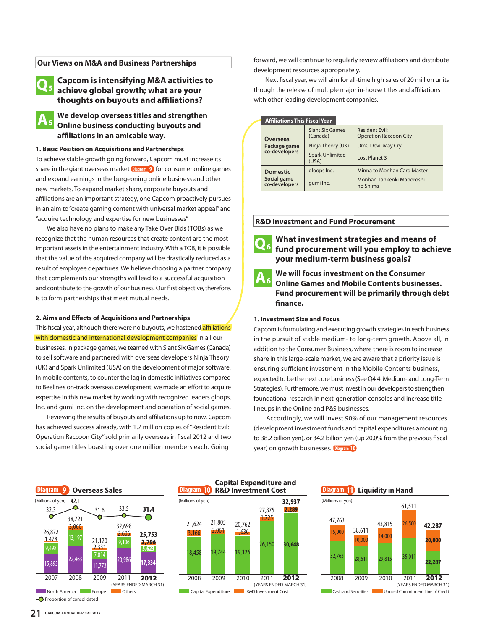### **Our Views on M&A and Business Partnerships**

#### **Capcom is intensifying M&A activities to achieve global growth; what are your thoughts on buyouts and affiliations? Q5**

**We develop overseas titles and strengthen Online business conducting buyouts and affiliations in an amicable way. A5**

#### **1. Basic Position on Acquisitions and Partnerships**

To achieve stable growth going forward, Capcom must increase its share in the giant overseas market  $\frac{D \cdot \text{logram}}{D}$  for consumer online games and expand earnings in the burgeoning online business and other and expand earnings in the burgeoning online business and other new markets. To expand market share, corporate buyouts and affiliations are an important strategy, one Capcom proactively pursues in an aim to "create gaming content with universal market appeal" and "acquire technology and expertise for new businesses".

 We also have no plans to make any Take Over Bids (TOBs) as we recognize that the human resources that create content are the most important assets in the entertainment industry. With a TOB, it is possible that the value of the acquired company will be drastically reduced as a result of employee departures. We believe choosing a partner company that complements our strengths will lead to a successful acquisition and contribute to the growth of our business. Our first objective, therefore, is to form partnerships that meet mutual needs.

#### **2. Aims and Effects of Acquisitions and Partnerships**

### This fiscal year, although there were no buyouts, we hastened **affiliations** with domestic and international development companies in all our

businesses. In package games, we teamed with Slant Six Games (Canada) to sell software and partnered with overseas developers Ninja Theory (UK) and Spark Unlimited (USA) on the development of major software. In mobile contents, to counter the lag in domestic initiatives compared to Beeline's on-track overseas development, we made an effort to acquire expertise in this new market by working with recognized leaders gloops, Inc. and gumi Inc. on the development and operation of social games.

 Reviewing the results of buyouts and affiliations up to now, Capcom has achieved success already, with 1.7 million copies of "Resident Evil: Operation Raccoon City" sold primarily overseas in fiscal 2012 and two social game titles boasting over one million members each. Going

forward, we will continue to regularly review affiliations and distribute development resources appropriately.

 Next fiscal year, we will aim for all-time high sales of 20 million units though the release of multiple major in-house titles and affiliations with other leading development companies.

|  | <b>Affiliations This Fiscal Year</b>             |                                    |                                                 |
|--|--------------------------------------------------|------------------------------------|-------------------------------------------------|
|  | <b>Overseas</b><br>Package game<br>co-developers | <b>Slant Six Games</b><br>(Canada) | Resident Evil:<br><b>Operation Raccoon City</b> |
|  |                                                  | Ninja Theory (UK)                  | DmC Devil May Cry                               |
|  |                                                  | <b>Spark Unlimited</b><br>(USA)    | Lost Planet 3                                   |
|  | <b>Domestic</b>                                  | gloops Inc.                        | Minna to Monhan Card Master                     |
|  | Social game<br>co-developers                     | qumi Inc.                          | Monhan Tankenki Maboroshi<br>no Shima           |

#### **R&D Investment and Fund Procurement**

**Q6**

**What investment strategies and means of fund procurement will you employ to achieve your medium-term business goals?**

**A6**

**We will focus investment on the Consumer Online Games and Mobile Contents businesses. Fund procurement will be primarily through debt finance.**

#### **1. Investment Size and Focus**

Capcom is formulating and executing growth strategies in each business in the pursuit of stable medium- to long-term growth. Above all, in addition to the Consumer Business, where there is room to increase share in this large-scale market, we are aware that a priority issue is ensuring sufficient investment in the Mobile Contents business, expected to be the next core business (See Q4 4. Medium- and Long-Term Strategies). Furthermore, we must invest in our developers to strengthen foundational research in next-generation consoles and increase title lineups in the Online and P&S businesses.

 Accordingly, we will invest 90% of our management resources (development investment funds and capital expenditures amounting to 38.2 billion yen), or 34.2 billion yen (up 20.0% from the previous fiscal year) on growth businesses. **Diagram 10**